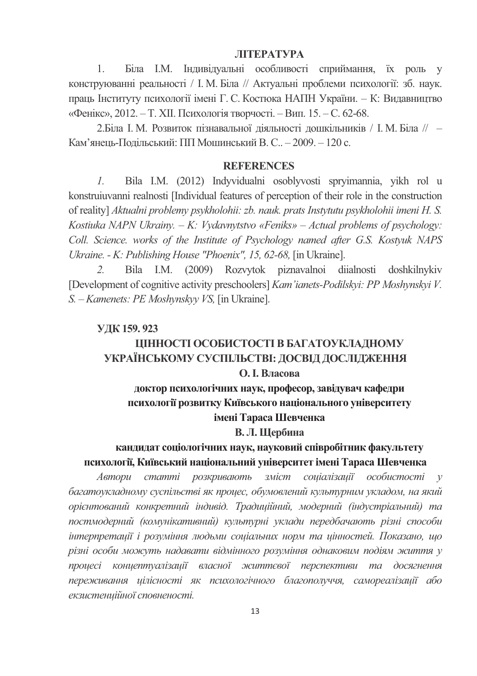### **ЛІТЕРАТУРА**

Біла І.М. Індивідуальні особливості сприймання, їх роль у  $\mathbf{1}$ конструюванні реальності / І. М. Біла // Актуальні проблеми психології: зб. наук. праць Інституту психології імені Г. С. Костюка НАПН України. - К: Видавництво «Фенікс», 2012. – Т. XII. Психологія творчості. – Вип. 15. – С. 62-68.

2. Біла І. М. Розвиток пізнавальної діяльності дошкільників / І. М. Біла // -Кам'янець-Подільський: ПП Мошинський В. С.. - 2009. - 120 с.

### **REFERENCES**

 $\mathcal{I}$ . Bila I.M. (2012) Indyvidualni osoblyvosti spryimannia, yikh rol u konstruiuvanni realnosti [Individual features of perception of their role in the construction of reality] Aktualni problemy psykholohii: zb. nauk. prats Instytutu psykholohii imeni H. S. Kostiuka NAPN Ukrainy.  $-K$ : Vydavnytstvo «Feniks» – Actual problems of psychology: Coll. Science, works of the Institute of Psychology named after G.S. Kostyuk NAPS Ukraine. - K: Publishing House "Phoenix", 15, 62-68, [in Ukraine].

Bila I.M. (2009) Rozvytok piznavalnoi diialnosti doshkilnykiv  $2^{1}$ [Development of cognitive activity preschoolers] Kam'ianets-Podilskyi: PP Moshynskyi V. S. - Kamenets: PE Moshynskyy VS, [in Ukraine].

### УДК 159.923

# ЦІННОСТІ ОСОБИСТОСТІ В БАГАТОУКЛАДНОМУ УКРАЇНСЬКОМУ СУСПІЛЬСТВІ: ДОСВІД ДОСЛІДЖЕННЯ

### О. І. Власова

## доктор психологічних наук, професор, завідувач кафедри психології розвитку Київського національного університету імені Тараса Шевченка

### В. Л. Щербина

## кандидат соціологічних наук, науковий співробітник факультету психології, Київський національний університет імені Тараса Шевченка

Автори статті розкривають зміст соціалізації особистості  $\mathcal V$ багатоукладному суспільстві як процес, обумовлений культурним укладом, на який орієнтований конкретний індивід. Традиційний, модерний (індустріальний) та постмодерний (комунікативний) культурні уклади передбачають різні способи інтерпретації і розуміння людьми соціальних норм та цінностей. Показано, що різні особи можуть надавати відмінного розуміння однаковим подіям життя у процесі концептуалізації власної життєвої перспективи та досягнення переживання цілісності як психологічного благополуччя, самореалізації або екзистенційної сповненості.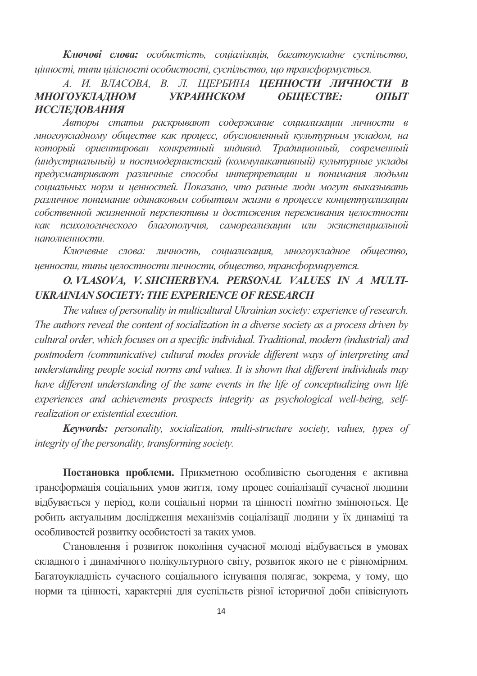Ключові слова: особистість, соціалізація, багатоукладне суспільство, иінності, типи иілісності особистості, суспільство, що трансформується.

#### А. И. ВЛАСОВА. В. Л. ШЕРБИНА ЦЕННОСТИ ЛИЧНОСТИ В **МНОГОУКЛАДНОМ УКРАИНСКОМ** ОБШЕСТВЕ:  $OII$ *MT* **ИССЛЕДОВАНИЯ**

Авторы статьи раскрывают содержание социализации личности в многоукладному обшестве как проиесс, обусловленный культурным укладом, на который ориентирован конкретный индивид. Традиционный, современный (индустриальный) и постмодернистский (коммуникативный) культурные уклады предусматривают различные способы интерпретации и понимания людьми социальных норм и ценностей. Показано, что разные люди могут выказывать различное понимание одинаковым событиям жизни в процессе концептуализации собственной жизненной перспективы и достижения переживания целостности как психологического благополучия, самореализации или экзистенциальной наполненности.

Ключевые слова: личность, социализация, многоукладное общество, иенности, типы иелостности личности, общество, трансформируется.

## O. VLASOVA, V. SHCHERBYNA, PERSONAL VALUES IN A MULTI-**UKRAINIAN SOCIETY: THE EXPERIENCE OF RESEARCH**

The values of personality in multicultural Ukrainian society: experience of research. The authors reveal the content of socialization in a diverse society as a process driven by cultural order, which focuses on a specific individual. Traditional, modern (industrial) and postmodern (communicative) cultural modes provide different ways of interpreting and understanding people social norms and values. It is shown that different individuals may have different understanding of the same events in the life of conceptualizing own life experiences and achievements prospects integrity as psychological well-being, selfrealization or existential execution.

**Keywords:** personality, socialization, multi-structure society, values, types of integrity of the personality, transforming society.

Постановка проблеми. Прикметною особливістю сьогодення є активна трансформація соціальних умов життя, тому процес соціалізації сучасної людини відбувається у період, коли соціальні норми та цінності помітно змінюються. Це робить актуальним дослідження механізмів соціалізації людини у їх динаміці та особливостей розвитку особистості за таких умов.

Становлення і розвиток покоління сучасної молоді відбувається в умовах складного і динамічного полікультурного світу, розвиток якого не є рівномірним. Багатоукладність сучасного соціального існування полягає, зокрема, у тому, що норми та цінності, характерні для суспільств різної історичної доби співіснують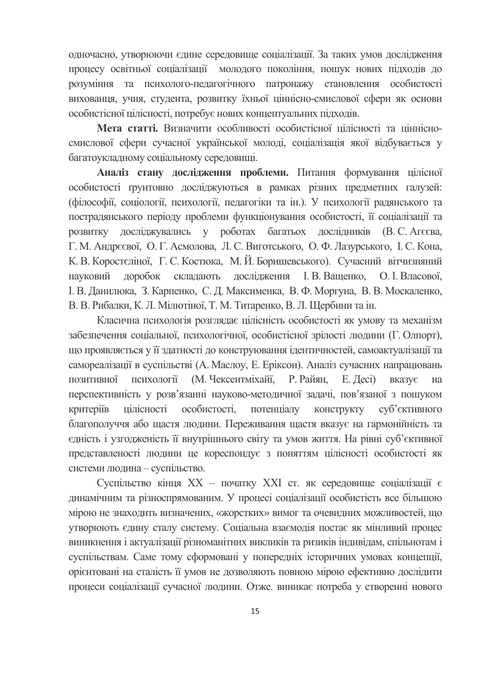одночасно, утворюючи єдине середовище соціалізації. За таких умов дослідження процесу освітньої соціалізації молодого покоління, пошук нових підходів до розуміння та психолого-педагогічного патронажу становлення особистості вихованця, учня, студента, розвитку їхньої ціннісно-смислової сфери як основи особистісної цілісності, потребує нових концептуальних підходів.

Мета статті. Визначити особливості особистісної цілісності та піннісносмислової сфери сучасної української молоді, соціалізація якої відбувається у багатоукладному соціальному середовищі.

Аналіз стану дослідження проблеми. Питання формування цілісної особистості грунтовно досліджуються в рамках різних предметних галузей: (філософії, соціології, психології, педагогіки та ін.). У психології радянського та пострадянського періоду проблеми функціонування особистості, її соціалізації та розвитку досліджувались у роботах багатьох дослідників (В. С. Агєєва, Г. М. Андреєвої, О. Г. Асмолова, Л. С. Виготського, О. Ф. Лазурського, І. С. Кона, К. В. Коростеліної, Г. С. Костюка, М. Й. Боришевського). Сучасний вітчизняний науковий доробок складають дослідження І. В. Ващенко, О. І. Власової, I. В. Данилюка, З. Карпенко, С. Д. Максименка, В. Ф. Моргуна, В. В. Москаленко, В. В. Рибалки, К. Л. Мілютіної, Т. М. Титаренко, В. Л. Щербини та ін.

Класична психологія розглядає цілісність особистості як умову та механізм забезпечення соціальної, психологічної, особистісної зрілості людини (Г. Олпорт), що проявляється у її здатності до конструювання ідентичностей, самоактуалізації та самореалізації в суспільстві (А. Маслоу, Е. Еріксон). Аналіз сучасних напрацювань психології (М. Чексентміхайї, Р. Райян, Е. Десі) позитивної вказує на перспективність у розв'язанні науково-методичної задачі, пов'язаної з пошуком цілісності особистості, потенціалу критеріїв конструкту суб'єктивного благополуччя або щастя людини. Переживання щастя вказує на гармонійність та єдність і узгодженість її внутрішнього світу та умов життя. На рівні суб'єктивної представленості людини це кореспондує з поняттям цілісності особистості як системи людина - суспільство.

Суспільство кінця XX - початку XXI ст. як середовище соціалізації є динамічним та різноспрямованим. У процесі соціалізації особистість все більшою мірою не знаходить визначених, «жорстких» вимог та очевидних можливостей, що утворюють єдину сталу систему. Соціальна взаємодія постає як мінливий процес виникнення і актуалізації різноманітних викликів та ризиків індивідам, спільнотам і суспільствам. Саме тому сформовані у попередніх історичних умовах концепції, орієнтовані на сталість її умов не дозволяють повною мірою ефективно дослідити процеси соціалізації сучасної людини. Отже, виникає потреба у створенні нового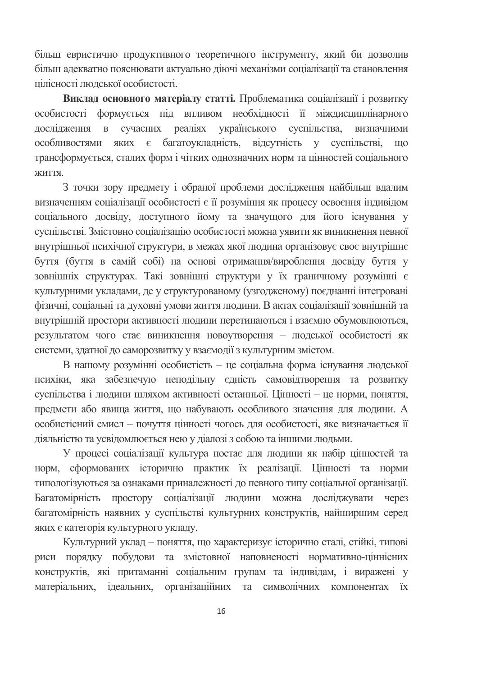більш евристично продуктивного теоретичного інструменту, який би дозволив більш адекватно пояснювати актуально діючі механізми соціалізації та становлення пілісності людської особистості.

Виклад основного матеріалу статті. Проблематика соціалізації і розвитку особистості формується під впливом необхідності її міждисциплінарного дослідження в сучасних реаліях українського суспільства, визначними особливостями яких є багатоукладність, відсутність у суспільстві, **THO** трансформується, сталих форм і чітких однозначних норм та пінностей сопіального життя.

З точки зору предмету і обраної проблеми дослідження найбільш вдалим визначенням соціалізації особистості є її розуміння як процесу освоєння індивідом соціального досвіду, доступного йому та значущого для його існування у суспільстві. Змістовно соціалізацію особистості можна уявити як виникнення певної внутрішньої психічної структури, в межах якої людина організовує своє внутрішнє буття (буття в самій собі) на основі отримання/вироблення досвіду буття у зовнішніх структурах. Такі зовнішні структури у їх граничному розумінні є культурними укладами, де у структурованому (узгодженому) поєднанні інтегровані фізичні, соціальні та духовні умови життя людини. В актах соціалізації зовнішній та внутрішній простори активності людини перетинаються і взаємно обумовлюються, результатом чого стає виникнення новоутворення - людської особистості як системи, здатної до саморозвитку у взаємодії з культурним змістом.

В нашому розумінні особистість - це соціальна форма існування людської психіки, яка забезпечую неподільну єдність самовідтворення та розвитку суспільства і людини шляхом активності останньої. Цінності - це норми, поняття, предмети або явища життя, що набувають особливого значення для людини. А особистісний смисл - почуття цінності чогось для особистості, яке визначається її діяльністю та усвідомлюється нею у діалозі з собою та іншими людьми.

У процесі соціалізації культура постає для людини як набір цінностей та норм, сформованих історично практик їх реалізації. Цінності та норми типологізуються за ознаками приналежності до певного типу соціальної організації. Багатомірність простору соціалізації людини можна досліджувати через багатомірність наявних у суспільстві культурних конструктів, найширшим серед яких є категорія культурного укладу.

Культурний уклад - поняття, що характеризує історично сталі, стійкі, типові риси порядку побудови та змістовної наповненості нормативно-ціннісних конструктів, які притаманні соціальним групам та індивідам, і виражені у матеріальних, ідеальних, організаційних та символічних компонентах їх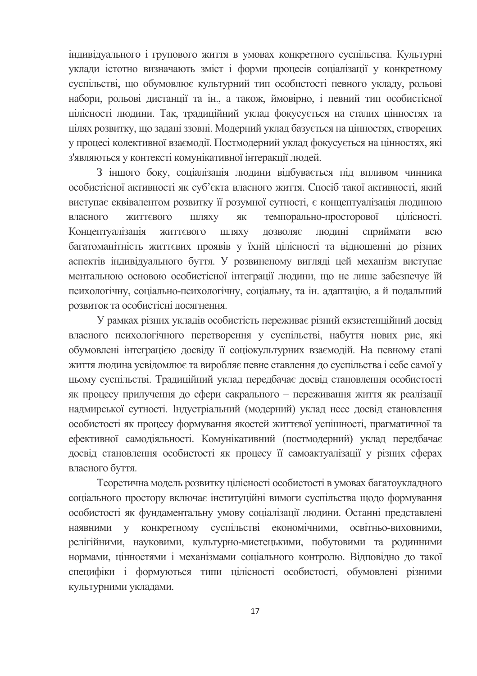індивідуального і групового життя в умовах конкретного суспільства. Культурні уклади істотно визначають зміст і форми процесів соціалізації у конкретному суспільстві, що обумовлює культурний тип особистості певного укладу, рольові набори, рольові дистанції та ін., а також, ймовірно, і певний тип особистісної цілісності людини. Так, традиційний уклад фокусується на сталих цінностях та цілях розвитку, що задані ззовні. Модерний уклад базується на цінностях, створених у процесі колективної взаємодії. Постмодерний уклад фокусується на цінностях, які з'являються у контексті комунікативної інтеракції людей.

З іншого боку, соціалізація людини відбувається під впливом чинника особистісної активності як суб'єкта власного життя. Спосіб такої активності, який виступає еквівалентом розвитку її розумної сутності, є концептуалізація людиною темпорально-просторової власного ЖИТТЄВОГО ШЛЯХУ ЯК пілісності. Концептуалізація людині ЖИТТЄВОГО ШЛЯХУ ДОЗВОЛЯЄ сприймати **BCIO** багатоманітність життєвих проявів у їхній цілісності та відношенні до різних аспектів індивідуального буття. У розвиненому вигляді цей механізм виступає ментальною основою особистісної інтеграції людини, що не лише забезпечує їй психологічну, соціально-психологічну, соціальну, та ін. адаптацію, а й подальший розвиток та особистісні досягнення.

У рамках різних укладів особистість переживає різний екзистенційний досвід власного психологічного перетворення у суспільстві, набуття нових рис, які обумовлені інтеграцією досвіду її соціокультурних взаємодій. На певному етапі життя людина усвідомлює та виробляє певне ставлення до суспільства і себе самої у цьому суспільстві. Традиційний уклад передбачає досвід становлення особистості як процесу прилучення до сфери сакрального - переживання життя як реалізації надмирської сутності. Індустріальний (модерний) уклад несе досвід становлення особистості як процесу формування якостей життєвої успішності, прагматичної та ефективної самодіяльності. Комунікативний (постмодерний) уклад передбачає досвід становлення особистості як процесу її самоактуалізації у різних сферах власного буття.

Теоретична модель розвитку цілісності особистості в умовах багатоукладного соціального простору включає інституційні вимоги суспільства щодо формування особистості як фундаментальну умову соціалізації людини. Останні представлені наявними у конкретному суспільстві економічними, освітньо-виховними, релігійними, науковими, культурно-мистецькими, побутовими та родинними нормами, цінностями і механізмами соціального контролю. Відповідно до такої специфіки і формуються типи цілісності особистості, обумовлені різними культурними укладами.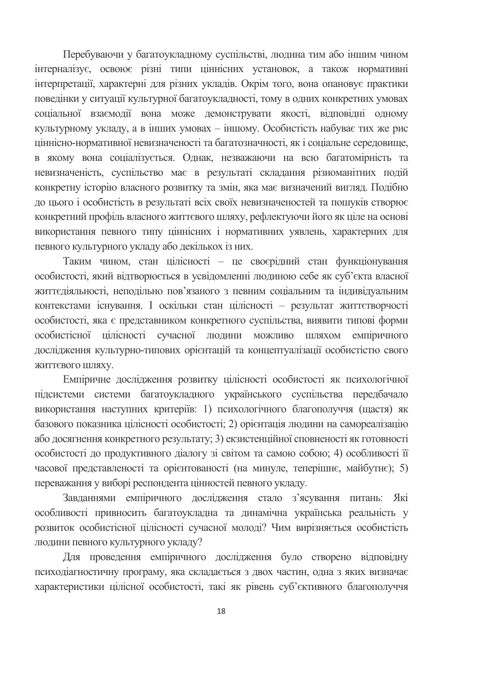Перебуваючи у багатоукладному суспільстві, людина тим або іншим чином інтерналізує, освоює різні типи ціннісних установок, а також нормативні інтерпретації, характерні для різних укладів. Окрім того, вона опановує практики поведінки у ситуації культурної багатоукладності, тому в одних конкретних умовах соціальної взаємодії вона може демонструвати якості, відповідні одному культурному укладу, а в інших умовах - іншому. Особистість набуває тих же рис ціннісно-нормативної невизначеності та багатозначності, як і соціальне середовище, в якому вона соціалізується. Однак, незважаючи на всю багатомірність та невизначеність, суспільство має в результаті складання різноманітних подій конкретну історію власного розвитку та змін, яка має визначений вигляд. Подібно до цього і особистість в результаті всіх своїх невизначеностей та пошуків створює конкретний профіль власного життєвого шляху, рефлектуючи його як ціле на основі використання певного типу ціннісних і нормативних уявлень, характерних для певного культурного укладу або декількох із них.

Таким чином, стан цілісності - це своєрідний стан функціонування особистості, який відтворюється в усвідомленні людиною себе як суб'єкта власної життєдіяльності, неподільно пов'язаного з певним соціальним та індивідуальним контекстами існування. І оскільки стан цілісності - результат життєтворчості особистості, яка є представником конкретного суспільства, виявити типові форми особистісної цілісності сучасної людини можливо шляхом емпіричного дослідження культурно-типових орієнтацій та концептуалізації особистістю свого ЖИТТЄВОГО ШЛЯХУ.

Емпіричне дослідження розвитку цілісності особистості як психологічної підсистеми системи багатоукладного українського суспільства передбачало використання наступних критеріїв: 1) психологічного благополуччя (щастя) як базового показника цілісності особистості; 2) орієнтація людини на самореалізацію або досягнення конкретного результату; 3) екзистенційної сповненості як готовності особистості до продуктивного діалогу зі світом та самою собою; 4) особливості її часової представленості та орієнтованості (на минуле, теперішнє, майбутнє); 5) переважання у виборі респондента цінностей певного укладу.

Завданнями емпіричного дослідження стало з'ясування питань: Які особливості привносить багатоукладна та динамічна українська реальність у розвиток особистісної цілісності сучасної молоді? Чим вирізняється особистість людини певного культурного укладу?

Для проведення емпіричного дослідження було створено відповідну психодіагностичну програму, яка складається з двох частин, одна з яких визначає характеристики цілісної особистості, такі як рівень суб'єктивного благополуччя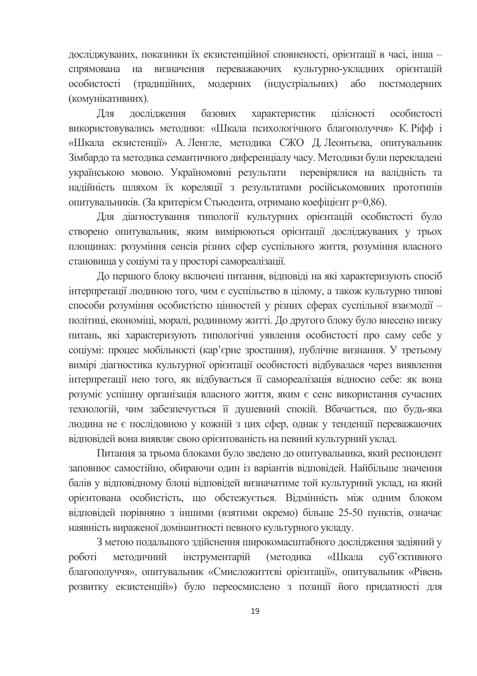досліджуваних, показники їх екзистенційної сповненості, орієнтації в часі, інша на визначення переважаючих культурно-укладних орієнтацій спрямована особистості (традиційних, модерних (індустріальних) або постмодерних (комунікативних).

лослілження базових характеристик пілісності Лля особистості використовувались методики: «Шкала психологічного благополуччя» К. Ріфф і «Шкала екзистенції» А. Ленгле, методика СЖО Д. Леонтьєва, опитувальник Зімбардо та метолика семантичного лиференціалу часу. Метолики були перекладені українською мовою. Україномовні результати перевірялися на валідність та надійність шляхом їх кореляції з результатами російськомовних прототипів опитувальників. (За критерієм Стьюдента, отримано коефіцієнт р=0,86).

Для діагностування типології культурних орієнтацій особистості було створено опитувальник, яким вимірюються орієнтації досліджуваних у трьох площинах: розуміння сенсів різних сфер суспільного життя, розуміння власного становища у соціумі та у просторі самореалізації.

До першого блоку включені питання, відповіді на які характеризують спосіб інтерпретації людиною того, чим є суспільство в цілому, а також культурно типові способи розуміння особистістю цінностей у різних сферах суспільної взаємодії політиці, економіці, моралі, родинному житті. До другого блоку було внесено низку питань, які характеризують типологічні уявлення особистості про саму себе у соціумі: процес мобільності (кар'єрне зростання), публічне визнання. У третьому вимірі діагностика культурної орієнтації особистості відбувалася через виявлення інтерпретації нею того, як відбувається її самореалізація відносно себе: як вона розуміє успішну організація власного життя, яким є сенс використання сучасних технологій, чим забезпечується її душевний спокій. Вбачається, що будь-яка людина не є послідовною у кожній з цих сфер, однак у тенденції переважаючих відповідей вона виявляє свою орієнтованість на певний культурний уклад.

Питання за трьома блоками було зведено до опитувальника, який респондент заповнює самостійно, обираючи один із варіантів відповідей. Найбільше значення балів у відповідному блоці відповідей визначатиме той культурний уклад, на який орієнтована особистість, що обстежується. Відмінність між одним блоком відповідей порівняно з іншими (взятими окремо) більше 25-50 пунктів, означає наявність вираженої домінантності певного культурного укладу.

З метою подальшого здійснення широкомасштабного дослідження задіяний у роботі методичний інструментарій (методика «Шкала суб'єктивного благополуччя», опитувальник «Смисложиттєві орієнтації», опитувальник «Рівень розвитку екзистенцій») було переосмислено з позиції його придатності для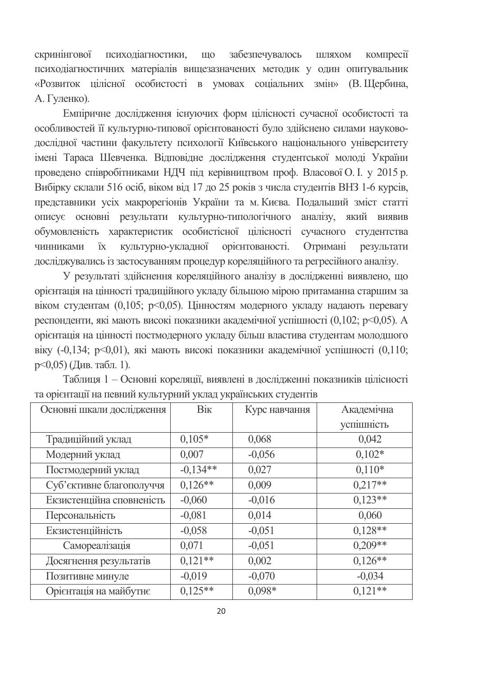скринінгової психодіагностики, що забезпечувалось шляхом компресії психодіагностичних матеріалів вищезазначених методик у один опитувальник «Розвиток цілісної особистості в умовах соціальних змін» (В. Щербина, А. Гуленко).

Емпіричне дослідження існуючих форм цілісності сучасної особистості та особливостей її культурно-типової орієнтованості було здійснено силами науководослідної частини факультету психології Київського національного університету імені Тараса Шевченка. Відповідне дослідження студентської молоді України проведено співробітниками НДЧ під керівництвом проф. Власової О. І. у 2015 р. Вибірку склали 516 осіб, віком від 17 до 25 років з числа студентів ВНЗ 1-6 курсів, представники усіх макрорегіонів України та м. Києва. Подальший зміст статті описує основні результати культурно-типологічного аналізу, який виявив обумовленість характеристик особистісної цілісності сучасного студентства чинниками їх культурно-укладної орієнтованості. Отримані результати досліджувались із застосуванням процедур кореляційного та регресійного аналізу.

У результаті здійснення кореляційного аналізу в дослідженні виявлено, що орієнтація на цінності традиційного укладу більшою мірою притаманна старшим за віком студентам (0,105; р<0,05). Цінностям модерного укладу надають перевагу респонденти, які мають високі показники академічної успішності (0,102; р<0,05). А орієнтація на цінності постмодерного укладу більш властива студентам молодшого віку (-0,134; p<0,01), які мають високі показники академічної успішності (0,110; р<0,05) (Див. табл. 1).

| Основні шкали дослідження | Вік        | Курс навчання | Академічна |
|---------------------------|------------|---------------|------------|
|                           |            |               | успішність |
| Традиційний уклад         | $0,105*$   | 0,068         | 0,042      |
| Модерний уклад            | 0,007      | $-0,056$      | $0,102*$   |
| Постмодерний уклад        | $-0,134**$ | 0,027         | $0,110*$   |
| Суб'єктивне благополуччя  | $0,126**$  | 0,009         | $0,217**$  |
| Екзистенційна сповненість | $-0,060$   | $-0,016$      | $0.123**$  |
| Персональність            | $-0.081$   | 0,014         | 0,060      |
| Екзистенційність          | $-0,058$   | $-0.051$      | $0,128**$  |
| Самореалізація            | 0,071      | $-0,051$      | $0,209**$  |
| Досягнення результатів    | $0,121**$  | 0,002         | $0,126**$  |
| Позитивне минуле          | $-0,019$   | $-0,070$      | $-0.034$   |
| Орієнтація на майбутнє    | $0,125**$  | $0,098*$      | $0.121**$  |

Таблиця 1 - Основні кореляції, виявлені в дослідженні показників цілісності та орієнтації на певний культурний уклад українських студентів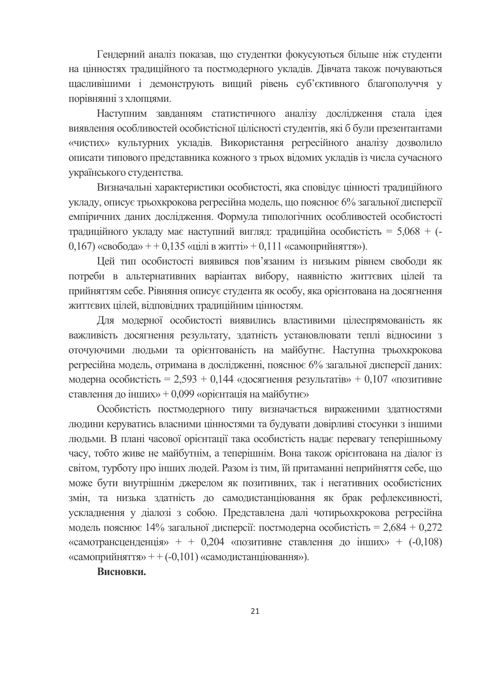Гендерний аналіз показав, що студентки фокусуються більше ніж студенти на цінностях традиційного та постмодерного укладів. Дівчата також почуваються щасливішими і демонструють вищий рівень суб'єктивного благополуччя у порівнянні з хлопцями.

Наступним завданням статистичного аналізу дослідження стала ідея виявлення особливостей особистісної цілісності студентів, які б були презентантами «чистих» культурних укладів. Використання регресійного аналізу дозволило описати типового прелставника кожного з трьох віломих уклалів із числа сучасного українського студентства.

Визначальні характеристики особистості, яка сповідує цінності традиційного укладу, описує трьохкрокова регресійна модель, що пояснює 6% загальної дисперсії емпіричних даних дослідження. Формула типологічних особливостей особистості традиційного укладу має наступний вигляд: традиційна особистість = 5,068 + (- $(0.167)$  «свобода» + + 0.135 «цілі в житті» + 0.111 «самоприйняття»).

Цей тип особистості виявився пов'язаним із низьким рівнем свободи як потреби в альтернативних варіантах вибору, наявністю життєвих цілей та прийняттям себе. Рівняння описує студента як особу, яка орієнтована на досягнення життєвих цілей, відповідних традиційним цінностям.

Для модерної особистості виявились властивими цілеспрямованість як важливість досягнення результату, здатність установлювати теплі відносини з оточуючими людьми та орієнтованість на майбутнє. Наступна трьохкрокова регресійна модель, отримана в дослідженні, пояснює 6% загальної дисперсії даних: модерна особистість = 2,593 + 0,144 «досягнення результатів» + 0,107 «позитивне ставлення до інших» + 0,099 «орієнтація на майбутнє»

Особистість постмодерного типу визначається вираженими здатностями людини керуватись власними цінностями та будувати довірливі стосунки з іншими людьми. В плані часової орієнтації така особистість надає перевагу теперішньому часу, тобто живе не майбутнім, а теперішнім. Вона також орієнтована на діалог із світом, турботу про інших людей. Разом із тим, їй притаманні неприйняття себе, що може бути внутрішнім джерелом як позитивних, так і негативних особистісних змін, та низька здатність до самодистанціювання як брак рефлексивності, ускладнення у діалозі з собою. Представлена далі чотирьохкрокова регресійна модель пояснює 14% загальної дисперсії: постмодерна особистість = 2,684 + 0,272 «самотрансценденція» + + 0,204 «позитивне ставлення до інших» +  $(-0.108)$ «самоприйняття» + + (-0,101) «самодистанцію вання»).

### Висновки.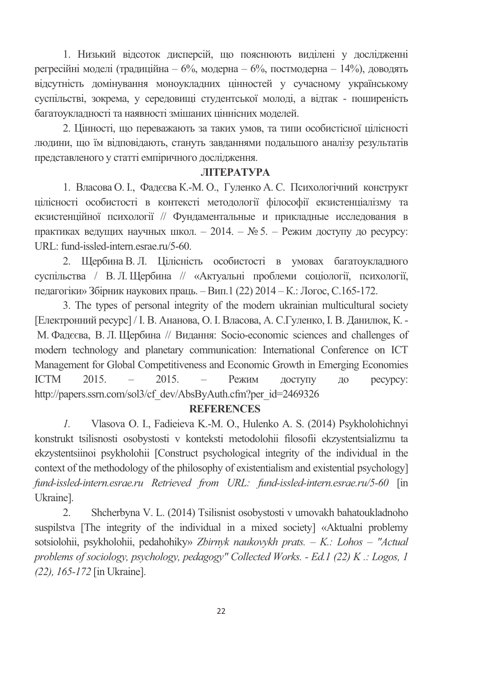1. Низький відсоток дисперсій, що пояснюють виділені у дослідженні регресійні моделі (традиційна – 6%, модерна – 6%, постмодерна – 14%), доводять відсутність домінування моноукладних цінностей у сучасному українському суспільстві, зокрема, у середовищі студентської молоді, а відтак - поширеність багатоукладності та наявності змішаних ціннісних моделей.

2. Цінності, що переважають за таких умов, та типи особистісної цілісності людини, що їм відповідають, стануть завданнями подальшого аналізу результатів представленого у статті емпіричного дослідження.

### **JIITEPATYPA**

1. Власова О. І., Фадєєва К.-М. О., Гуленко А. С. Психологічний конструкт цілісності особистості в контексті методології філософії екзистенціалізму та екзистенційної психології // Фундаментальные и прикладные исследования в практиках ведущих научных школ. – 2014. –  $N_2$  5. – Режим доступу до ресурсу: URL: fund-issled-intern.esrae.ru/5-60.

2. Щербина В. Л. Цілісність особистості в умовах багатоукладного суспільства / В. Л. Щербина // «Актуальні проблеми соціології, психології, педагогіки» Збірник наукових праць. – Вип.1 (22) 2014 – К.: Логос, С.165-172.

3. The types of personal integrity of the modern ukrainian multicultural society [Електронний ресурс] / І. В. Ананова, О. І. Власова, А. С.Гуленко, І. В. Данилюк, К. -М. Фадєєва, В. Л. Щербина // Видання: Socio-economic sciences and challenges of modern technology and planetary communication: International Conference on ICT Management for Global Competitiveness and Economic Growth in Emerging Economies  $ICTM$  2015. – 2015. – Режим доступу до ресурсу: http://papers.ssrn.com/sol3/cf\_dev/AbsByAuth.cfm?per\_id=2469326

### **REFERENCES**

*1.* Vlasova O. I., Fadieieva K.-M. O., Hulenko A. S. (2014) Psykholohichnyi konstrukt tsilisnosti osobystosti v konteksti metodolohii filosofii ekzystentsializmu ta ekzystentsiinoi psykholohii [Construct psychological integrity of the individual in the context of the methodology of the philosophy of existentialism and existential psychology] *fund-issled-intern.esrae.ru Retrieved from URL: fund-issled-intern.esrae.ru/5-60* [in Ukraine].

2. Shcherbyna V. L. (2014) Tsilisnist osobystosti v umovakh bahatoukladnoho suspilstva [The integrity of the individual in a mixed society] «Aktualni problemy sotsiolohii, psykholohii, pedahohiky» *Zbirnyk naukovykh prats. – K.: Lohos – "Actual problems of sociology, psychology, pedagogy" Collected Works. - Ed.1 (22) K .: Logos, 1 (22), 165-172* [in Ukraine].